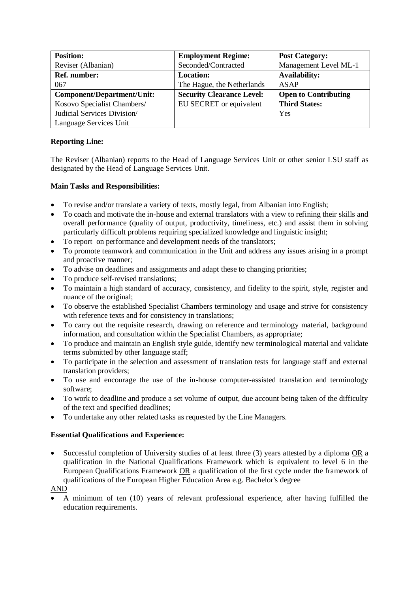| <b>Position:</b>            | <b>Employment Regime:</b>        | <b>Post Category:</b>       |
|-----------------------------|----------------------------------|-----------------------------|
| Reviser (Albanian)          | Seconded/Contracted              | Management Level ML-1       |
| <b>Ref. number:</b>         | <b>Location:</b>                 | <b>Availability:</b>        |
| 067                         | The Hague, the Netherlands       | <b>ASAP</b>                 |
| Component/Department/Unit:  | <b>Security Clearance Level:</b> | <b>Open to Contributing</b> |
| Kosovo Specialist Chambers/ | EU SECRET or equivalent          | <b>Third States:</b>        |
| Judicial Services Division/ |                                  | Yes                         |
| Language Services Unit      |                                  |                             |

# **Reporting Line:**

The Reviser (Albanian) reports to the Head of Language Services Unit or other senior LSU staff as designated by the Head of Language Services Unit.

## **Main Tasks and Responsibilities:**

- To revise and/or translate a variety of texts, mostly legal, from Albanian into English;
- To coach and motivate the in-house and external translators with a view to refining their skills and overall performance (quality of output, productivity, timeliness, etc.) and assist them in solving particularly difficult problems requiring specialized knowledge and linguistic insight;
- To report on performance and development needs of the translators;
- To promote teamwork and communication in the Unit and address any issues arising in a prompt and proactive manner;
- To advise on deadlines and assignments and adapt these to changing priorities;
- To produce self-revised translations;
- To maintain a high standard of accuracy, consistency, and fidelity to the spirit, style, register and nuance of the original;
- To observe the established Specialist Chambers terminology and usage and strive for consistency with reference texts and for consistency in translations;
- To carry out the requisite research, drawing on reference and terminology material, background information, and consultation within the Specialist Chambers, as appropriate;
- To produce and maintain an English style guide, identify new terminological material and validate terms submitted by other language staff;
- To participate in the selection and assessment of translation tests for language staff and external translation providers;
- To use and encourage the use of the in-house computer-assisted translation and terminology software;
- To work to deadline and produce a set volume of output, due account being taken of the difficulty of the text and specified deadlines;
- To undertake any other related tasks as requested by the Line Managers.

## **Essential Qualifications and Experience:**

• Successful completion of University studies of at least three (3) years attested by a diploma OR a qualification in the National Qualifications Framework which is equivalent to level 6 in the European Qualifications Framework OR a qualification of the first cycle under the framework of qualifications of the European Higher Education Area e.g. Bachelor's degree

#### AND

• A minimum of ten (10) years of relevant professional experience, after having fulfilled the education requirements.